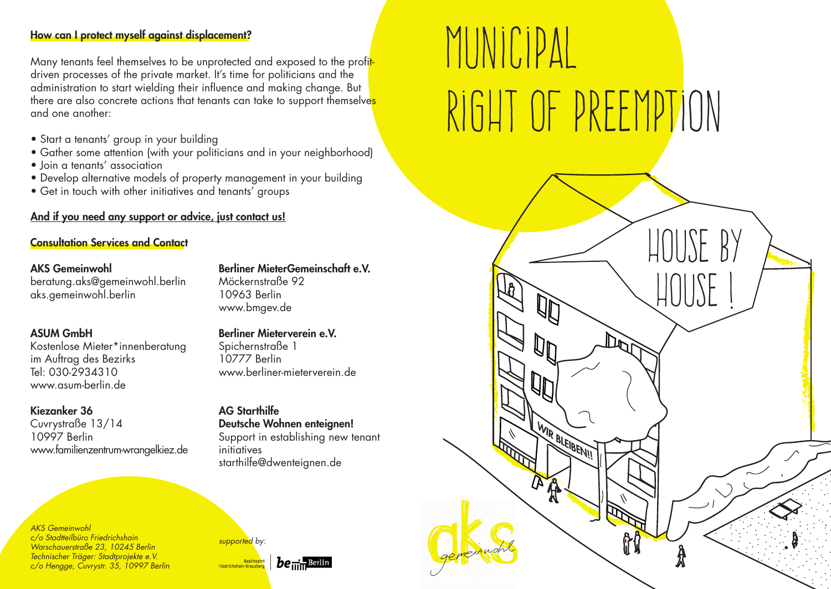### How can I protect myself against displacement?

Many tenants feel themselves to be unprotected and exposed to the profitdriven processes of the private market. It's time for politicians and the administration to start wielding their influence and making change. But there are also concrete actions that tenants can take to support themselves and one another:

- Start a tenants' group in your building
- Gather some attention (with your politicians and in your neighborhood)
- Join a tenants' association
- Develop alternative models of property management in your building
- Get in touch with other initiatives and tenants' groups

# And if you need any support or advice, just contact us!

### Consultation Services and Contact

## AKS Gemeinwohl

beratung.aks@gemeinwohl.berlin aks.gemeinwohl.berlin

# ASUM GmbH

Kostenlose Mieter\*innenberatung im Auftrag des Bezirks Tel: 030-2934310 www.asum-berlin.de

### Kiezanker 36

Cuvrystraße 13/14 10997 Berlin www.familienzentrum-wrangelkiez.de

*AKS Gemeinwohl c/o Stadtteilbüro Friedrichshain Warschauerstraße 23, 10245 Berlin Technischer Träger: Stadtprojekte e.V. c/o Hengge, Cuvrystr. 35, 10997 Berlin* Berliner MieterGemeinschaft e.V. Möckernstraße 92 10963 Berlin www.bmgev.de

# Berliner Mieterverein e.V.

Spichernstraße 1 10777 Berlin www.berliner-mieterverein.de

# AG Starthilfe

Deutsche Wohnen enteignen! Support in establishing new tenant initiatives starthilfe@dwenteignen.de



# MUNICIPAL Right of Preemption

House by

House !

WIR BLEIBEN!!

一部